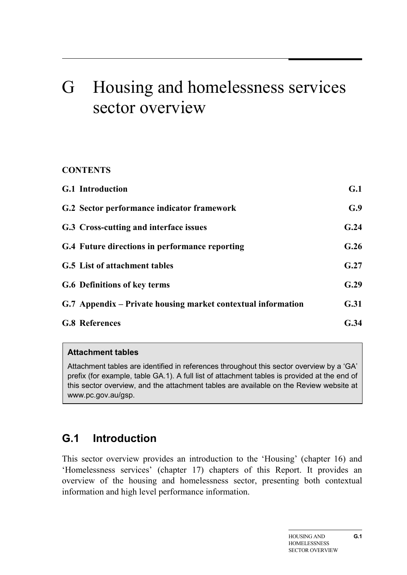# G Housing and homelessness services sector overview

### **CONTENTS**

| <b>G.1</b> Introduction                                      | G.1  |
|--------------------------------------------------------------|------|
| G.2 Sector performance indicator framework                   | G.9  |
| G.3 Cross-cutting and interface issues                       | G.24 |
| G.4 Future directions in performance reporting               | G.26 |
| G.5 List of attachment tables                                | G.27 |
| <b>G.6 Definitions of key terms</b>                          | G.29 |
| G.7 Appendix – Private housing market contextual information | G.31 |
| <b>G.8 References</b>                                        | G.34 |

#### **Attachment tables**

Attachment tables are identified in references throughout this sector overview by a 'GA' prefix (for example, table GA.1). A full list of attachment tables is provided at the end of this sector overview, and the attachment tables are available on the Review website at www.pc.gov.au/gsp.

# **G.1 Introduction**

This sector overview provides an introduction to the 'Housing' (chapter 16) and 'Homelessness services' (chapter 17) chapters of this Report. It provides an overview of the housing and homelessness sector, presenting both contextual information and high level performance information.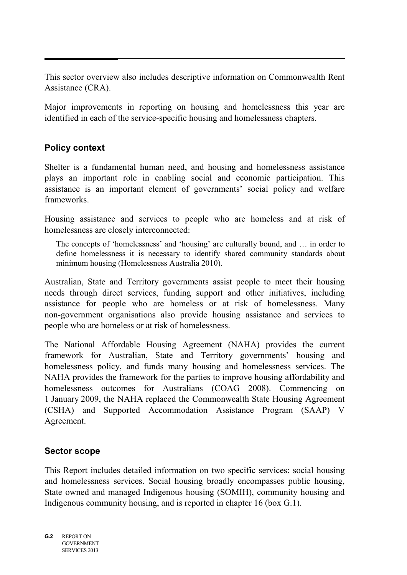This sector overview also includes descriptive information on Commonwealth Rent Assistance (CRA).

Major improvements in reporting on housing and homelessness this year are identified in each of the service-specific housing and homelessness chapters.

# **Policy context**

Shelter is a fundamental human need, and housing and homelessness assistance plays an important role in enabling social and economic participation. This assistance is an important element of governments' social policy and welfare frameworks.

Housing assistance and services to people who are homeless and at risk of homelessness are closely interconnected:

The concepts of 'homelessness' and 'housing' are culturally bound, and … in order to define homelessness it is necessary to identify shared community standards about minimum housing (Homelessness Australia 2010).

Australian, State and Territory governments assist people to meet their housing needs through direct services, funding support and other initiatives, including assistance for people who are homeless or at risk of homelessness. Many non-government organisations also provide housing assistance and services to people who are homeless or at risk of homelessness.

The National Affordable Housing Agreement (NAHA) provides the current framework for Australian, State and Territory governments' housing and homelessness policy, and funds many housing and homelessness services. The NAHA provides the framework for the parties to improve housing affordability and homelessness outcomes for Australians (COAG 2008). Commencing on 1 January 2009, the NAHA replaced the Commonwealth State Housing Agreement (CSHA) and Supported Accommodation Assistance Program (SAAP) V Agreement.

# **Sector scope**

This Report includes detailed information on two specific services: social housing and homelessness services. Social housing broadly encompasses public housing, State owned and managed Indigenous housing (SOMIH), community housing and Indigenous community housing, and is reported in chapter 16 (box G.1).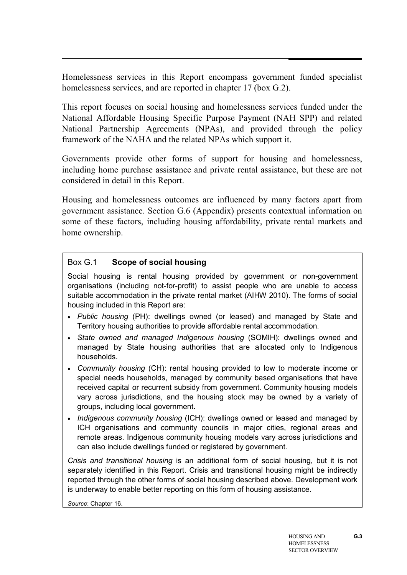Homelessness services in this Report encompass government funded specialist homelessness services, and are reported in chapter 17 (box G.2).

This report focuses on social housing and homelessness services funded under the National Affordable Housing Specific Purpose Payment (NAH SPP) and related National Partnership Agreements (NPAs), and provided through the policy framework of the NAHA and the related NPAs which support it.

Governments provide other forms of support for housing and homelessness, including home purchase assistance and private rental assistance, but these are not considered in detail in this Report.

Housing and homelessness outcomes are influenced by many factors apart from government assistance. Section G.6 (Appendix) presents contextual information on some of these factors, including housing affordability, private rental markets and home ownership.

#### Box G.1 **Scope of social housing**

Social housing is rental housing provided by government or non-government organisations (including not-for-profit) to assist people who are unable to access suitable accommodation in the private rental market (AIHW 2010). The forms of social housing included in this Report are:

- *Public housing* (PH): dwellings owned (or leased) and managed by State and Territory housing authorities to provide affordable rental accommodation.
- *State owned and managed Indigenous housing* (SOMIH): dwellings owned and managed by State housing authorities that are allocated only to Indigenous households.
- *Community housing* (CH): rental housing provided to low to moderate income or special needs households, managed by community based organisations that have received capital or recurrent subsidy from government. Community housing models vary across jurisdictions, and the housing stock may be owned by a variety of groups, including local government.
- *Indigenous community housing* (ICH): dwellings owned or leased and managed by ICH organisations and community councils in major cities, regional areas and remote areas. Indigenous community housing models vary across jurisdictions and can also include dwellings funded or registered by government.

*Crisis and transitional housing* is an additional form of social housing, but it is not separately identified in this Report. Crisis and transitional housing might be indirectly reported through the other forms of social housing described above. Development work is underway to enable better reporting on this form of housing assistance.

*Source*: Chapter 16.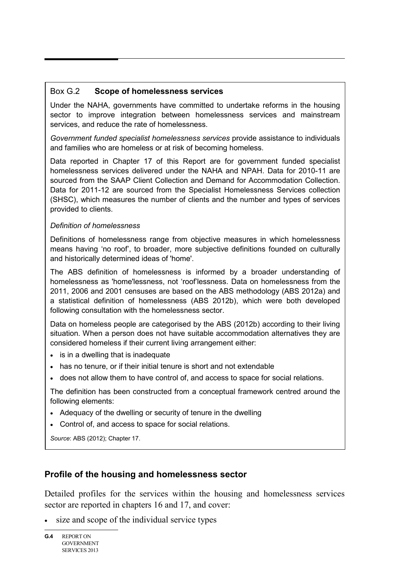#### Box G.2 **Scope of homelessness services**

Under the NAHA, governments have committed to undertake reforms in the housing sector to improve integration between homelessness services and mainstream services, and reduce the rate of homelessness.

*Government funded specialist homelessness services* provide assistance to individuals and families who are homeless or at risk of becoming homeless.

Data reported in Chapter 17 of this Report are for government funded specialist homelessness services delivered under the NAHA and NPAH. Data for 2010-11 are sourced from the SAAP Client Collection and Demand for Accommodation Collection. Data for 2011-12 are sourced from the Specialist Homelessness Services collection (SHSC), which measures the number of clients and the number and types of services provided to clients.

#### *Definition of homelessness*

Definitions of homelessness range from objective measures in which homelessness means having 'no roof', to broader, more subjective definitions founded on culturally and historically determined ideas of 'home'.

The ABS definition of homelessness is informed by a broader understanding of homelessness as 'home'lessness, not 'roof'lessness. Data on homelessness from the 2011, 2006 and 2001 censuses are based on the ABS methodology (ABS 2012a) and a statistical definition of homelessness (ABS 2012b), which were both developed following consultation with the homelessness sector.

Data on homeless people are categorised by the ABS (2012b) according to their living situation. When a person does not have suitable accommodation alternatives they are considered homeless if their current living arrangement either:

- is in a dwelling that is inadequate
- has no tenure, or if their initial tenure is short and not extendable
- does not allow them to have control of, and access to space for social relations.

The definition has been constructed from a conceptual framework centred around the following elements:

- Adequacy of the dwelling or security of tenure in the dwelling
- Control of, and access to space for social relations.

*Source*: ABS (2012); Chapter 17.

# **Profile of the housing and homelessness sector**

Detailed profiles for the services within the housing and homelessness services sector are reported in chapters 16 and 17, and cover:

• size and scope of the individual service types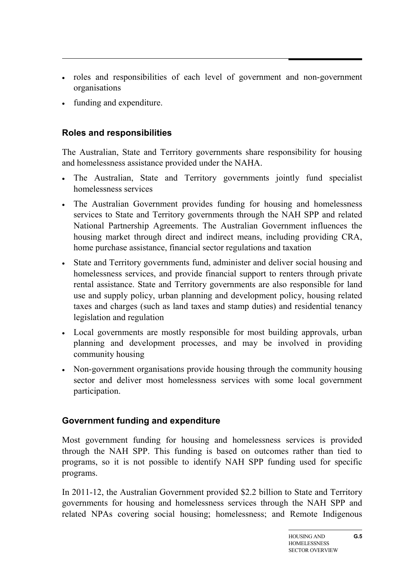- roles and responsibilities of each level of government and non-government organisations
- funding and expenditure.

# **Roles and responsibilities**

The Australian, State and Territory governments share responsibility for housing and homelessness assistance provided under the NAHA.

- The Australian, State and Territory governments jointly fund specialist homelessness services
- The Australian Government provides funding for housing and homelessness services to State and Territory governments through the NAH SPP and related National Partnership Agreements. The Australian Government influences the housing market through direct and indirect means, including providing CRA, home purchase assistance, financial sector regulations and taxation
- State and Territory governments fund, administer and deliver social housing and homelessness services, and provide financial support to renters through private rental assistance. State and Territory governments are also responsible for land use and supply policy, urban planning and development policy, housing related taxes and charges (such as land taxes and stamp duties) and residential tenancy legislation and regulation
- Local governments are mostly responsible for most building approvals, urban planning and development processes, and may be involved in providing community housing
- Non-government organisations provide housing through the community housing sector and deliver most homelessness services with some local government participation.

# **Government funding and expenditure**

Most government funding for housing and homelessness services is provided through the NAH SPP. This funding is based on outcomes rather than tied to programs, so it is not possible to identify NAH SPP funding used for specific programs.

In 2011-12, the Australian Government provided \$2.2 billion to State and Territory governments for housing and homelessness services through the NAH SPP and related NPAs covering social housing; homelessness; and Remote Indigenous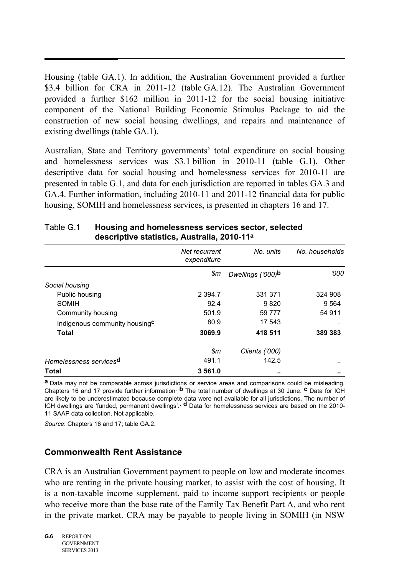Housing (table GA.1). In addition, the Australian Government provided a further \$3.4 billion for CRA in 2011-12 (table GA.12). The Australian Government provided a further \$162 million in 2011-12 for the social housing initiative component of the National Building Economic Stimulus Package to aid the construction of new social housing dwellings, and repairs and maintenance of existing dwellings (table GA.1).

Australian, State and Territory governments' total expenditure on social housing and homelessness services was \$3.1 billion in 2010-11 (table G.1). Other descriptive data for social housing and homelessness services for 2010-11 are presented in table G.1, and data for each jurisdiction are reported in tables GA.3 and GA.4. Further information, including 2010-11 and 2011-12 financial data for public housing, SOMIH and homelessness services, is presented in chapters 16 and 17.

|                                           | Net recurrent<br>expenditure | No. units         | No. households |
|-------------------------------------------|------------------------------|-------------------|----------------|
|                                           | \$m                          | Dwellings ('000)b | 000'           |
| Social housing                            |                              |                   |                |
| Public housing                            | 2 3 9 4.7                    | 331 371           | 324 908        |
| <b>SOMIH</b>                              | 92.4                         | 9820              | 9 5 6 4        |
| Community housing                         | 501.9                        | 59 7 7 7          | 54 911         |
| Indigenous community housing <sup>c</sup> | 80.9                         | 17 543            | $\cdot$ .      |
| Total                                     | 3069.9                       | 418 511           | 389 383        |
|                                           | $\mathfrak{m}$               | Clients ('000)    |                |
| Homelessness services <sup>d</sup>        | 491.1                        | 142.5             |                |
| <b>Total</b>                              | 3 561.0                      |                   |                |

#### Table G.1 **Housing and homelessness services sector, selected descriptive statistics, Australia, 2010-11a**

**a** Data may not be comparable across jurisdictions or service areas and comparisons could be misleading. Chapters 16 and 17 provide further information. **b** The total number of dwellings at 30 June. **c** Data for ICH are likely to be underestimated because complete data were not available for all jurisdictions. The number of ICH dwellings are 'funded, permanent dwellings'. <sup>d</sup> Data for homelessness services are based on the 2010-11 SAAP data collection. Not applicable.

*Source*: Chapters 16 and 17; table GA.2.

# **Commonwealth Rent Assistance**

CRA is an Australian Government payment to people on low and moderate incomes who are renting in the private housing market, to assist with the cost of housing. It is a non-taxable income supplement, paid to income support recipients or people who receive more than the base rate of the Family Tax Benefit Part A, and who rent in the private market. CRA may be payable to people living in SOMIH (in NSW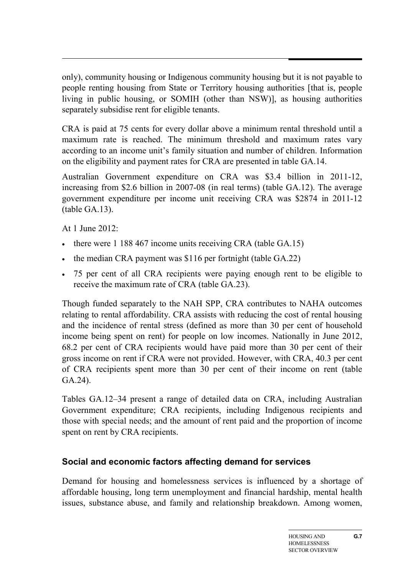only), community housing or Indigenous community housing but it is not payable to people renting housing from State or Territory housing authorities [that is, people living in public housing, or SOMIH (other than NSW)], as housing authorities separately subsidise rent for eligible tenants.

CRA is paid at 75 cents for every dollar above a minimum rental threshold until a maximum rate is reached. The minimum threshold and maximum rates vary according to an income unit's family situation and number of children. Information on the eligibility and payment rates for CRA are presented in table GA.14.

Australian Government expenditure on CRA was \$3.4 billion in 2011-12, increasing from \$2.6 billion in 2007-08 (in real terms) (table GA.12). The average government expenditure per income unit receiving CRA was \$2874 in 2011-12 (table GA.13).

At 1 June 2012:

- there were 1 188 467 income units receiving CRA (table GA.15)
- the median CRA payment was \$116 per fortnight (table GA.22)
- 75 per cent of all CRA recipients were paying enough rent to be eligible to receive the maximum rate of CRA (table GA.23).

Though funded separately to the NAH SPP, CRA contributes to NAHA outcomes relating to rental affordability. CRA assists with reducing the cost of rental housing and the incidence of rental stress (defined as more than 30 per cent of household income being spent on rent) for people on low incomes. Nationally in June 2012, 68.2 per cent of CRA recipients would have paid more than 30 per cent of their gross income on rent if CRA were not provided. However, with CRA, 40.3 per cent of CRA recipients spent more than 30 per cent of their income on rent (table GA.24).

Tables GA.12–34 present a range of detailed data on CRA, including Australian Government expenditure; CRA recipients, including Indigenous recipients and those with special needs; and the amount of rent paid and the proportion of income spent on rent by CRA recipients.

# **Social and economic factors affecting demand for services**

Demand for housing and homelessness services is influenced by a shortage of affordable housing, long term unemployment and financial hardship, mental health issues, substance abuse, and family and relationship breakdown. Among women,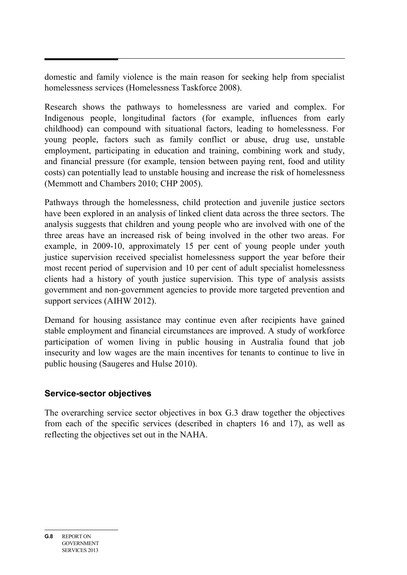domestic and family violence is the main reason for seeking help from specialist homelessness services (Homelessness Taskforce 2008).

Research shows the pathways to homelessness are varied and complex. For Indigenous people, longitudinal factors (for example, influences from early childhood) can compound with situational factors, leading to homelessness. For young people, factors such as family conflict or abuse, drug use, unstable employment, participating in education and training, combining work and study, and financial pressure (for example, tension between paying rent, food and utility costs) can potentially lead to unstable housing and increase the risk of homelessness (Memmott and Chambers 2010; CHP 2005).

Pathways through the homelessness, child protection and juvenile justice sectors have been explored in an analysis of linked client data across the three sectors. The analysis suggests that children and young people who are involved with one of the three areas have an increased risk of being involved in the other two areas. For example, in 2009-10, approximately 15 per cent of young people under youth justice supervision received specialist homelessness support the year before their most recent period of supervision and 10 per cent of adult specialist homelessness clients had a history of youth justice supervision. This type of analysis assists government and non-government agencies to provide more targeted prevention and support services (AIHW 2012).

Demand for housing assistance may continue even after recipients have gained stable employment and financial circumstances are improved. A study of workforce participation of women living in public housing in Australia found that job insecurity and low wages are the main incentives for tenants to continue to live in public housing (Saugeres and Hulse 2010).

# **Service-sector objectives**

The overarching service sector objectives in box G.3 draw together the objectives from each of the specific services (described in chapters 16 and 17), as well as reflecting the objectives set out in the NAHA.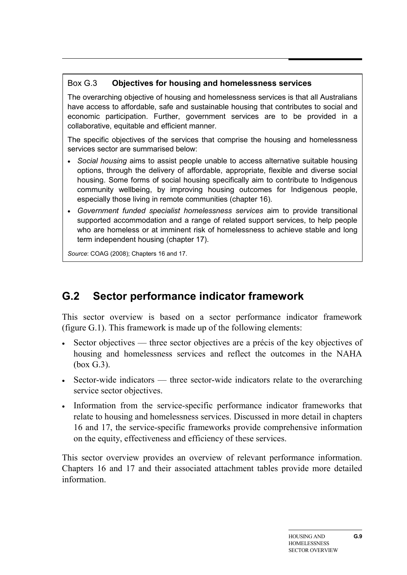# Box G.3 **Objectives for housing and homelessness services**

The overarching objective of housing and homelessness services is that all Australians have access to affordable, safe and sustainable housing that contributes to social and economic participation. Further, government services are to be provided in a collaborative, equitable and efficient manner.

The specific objectives of the services that comprise the housing and homelessness services sector are summarised below:

- *Social housing* aims to assist people unable to access alternative suitable housing options, through the delivery of affordable, appropriate, flexible and diverse social housing. Some forms of social housing specifically aim to contribute to Indigenous community wellbeing, by improving housing outcomes for Indigenous people, especially those living in remote communities (chapter 16).
- *Government funded specialist homelessness services* aim to provide transitional supported accommodation and a range of related support services, to help people who are homeless or at imminent risk of homelessness to achieve stable and long term independent housing (chapter 17).

*Source*: COAG (2008); Chapters 16 and 17.

# **G.2 Sector performance indicator framework**

This sector overview is based on a sector performance indicator framework (figure G.1). This framework is made up of the following elements:

- Sector objectives three sector objectives are a précis of the key objectives of housing and homelessness services and reflect the outcomes in the NAHA (box G.3).
- Sector-wide indicators three sector-wide indicators relate to the overarching service sector objectives.
- Information from the service-specific performance indicator frameworks that relate to housing and homelessness services. Discussed in more detail in chapters 16 and 17, the service-specific frameworks provide comprehensive information on the equity, effectiveness and efficiency of these services.

This sector overview provides an overview of relevant performance information. Chapters 16 and 17 and their associated attachment tables provide more detailed information.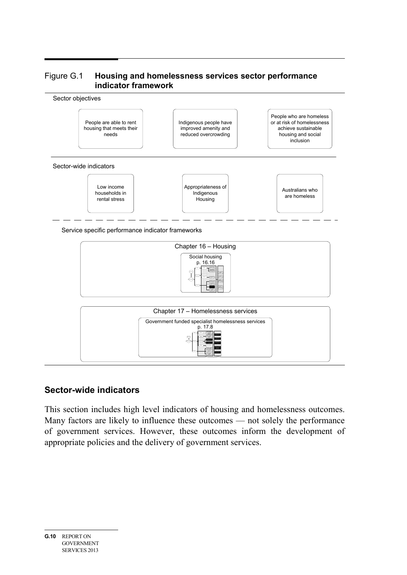#### Figure G.1 **Housing and homelessness services sector performance indicator framework**



Service specific performance indicator frameworks



# **Sector-wide indicators**

This section includes high level indicators of housing and homelessness outcomes. Many factors are likely to influence these outcomes — not solely the performance of government services. However, these outcomes inform the development of appropriate policies and the delivery of government services.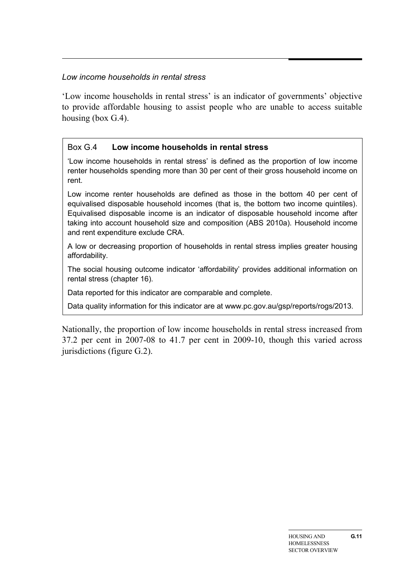#### *Low income households in rental stress*

'Low income households in rental stress' is an indicator of governments' objective to provide affordable housing to assist people who are unable to access suitable housing (box G.4).

#### Box G.4 **Low income households in rental stress**

'Low income households in rental stress' is defined as the proportion of low income renter households spending more than 30 per cent of their gross household income on rent.

Low income renter households are defined as those in the bottom 40 per cent of equivalised disposable household incomes (that is, the bottom two income quintiles). Equivalised disposable income is an indicator of disposable household income after taking into account household size and composition (ABS 2010a). Household income and rent expenditure exclude CRA.

A low or decreasing proportion of households in rental stress implies greater housing affordability.

The social housing outcome indicator 'affordability' provides additional information on rental stress (chapter 16).

Data reported for this indicator are comparable and complete.

Data quality information for this indicator are at www.pc.gov.au/gsp/reports/rogs/2013.

Nationally, the proportion of low income households in rental stress increased from 37.2 per cent in 2007-08 to 41.7 per cent in 2009-10, though this varied across jurisdictions (figure G.2).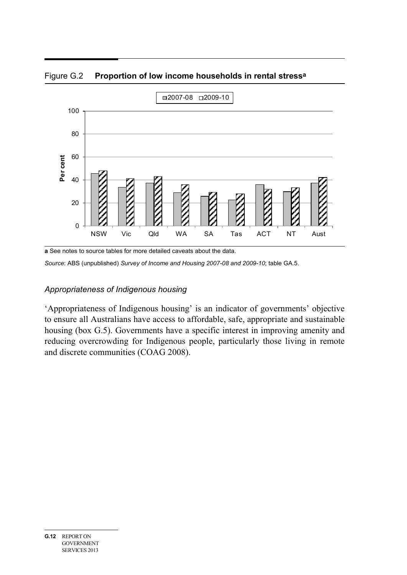

Figure G.2 **Proportion of low income households in rental stressa**

**a** See notes to source tables for more detailed caveats about the data.

*Source*: ABS (unpublished) *Survey of Income and Housing 2007-08 and 2009-10*; table GA.5.

#### *Appropriateness of Indigenous housing*

'Appropriateness of Indigenous housing' is an indicator of governments' objective to ensure all Australians have access to affordable, safe, appropriate and sustainable housing (box G.5). Governments have a specific interest in improving amenity and reducing overcrowding for Indigenous people, particularly those living in remote and discrete communities (COAG 2008).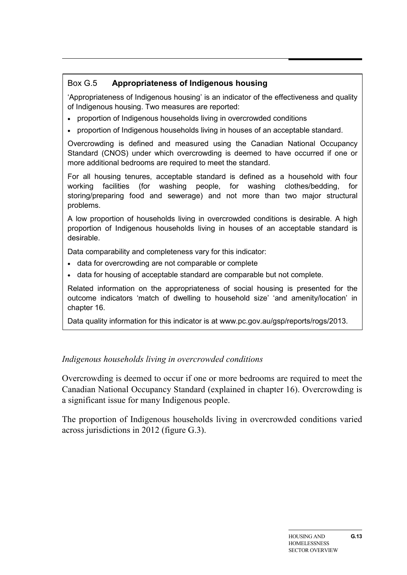# Box G.5 **Appropriateness of Indigenous housing**

'Appropriateness of Indigenous housing' is an indicator of the effectiveness and quality of Indigenous housing. Two measures are reported:

- proportion of Indigenous households living in overcrowded conditions
- proportion of Indigenous households living in houses of an acceptable standard.

Overcrowding is defined and measured using the Canadian National Occupancy Standard (CNOS) under which overcrowding is deemed to have occurred if one or more additional bedrooms are required to meet the standard.

For all housing tenures, acceptable standard is defined as a household with four working facilities (for washing people, for washing clothes/bedding, for storing/preparing food and sewerage) and not more than two major structural problems.

A low proportion of households living in overcrowded conditions is desirable. A high proportion of Indigenous households living in houses of an acceptable standard is desirable.

Data comparability and completeness vary for this indicator:

- data for overcrowding are not comparable or complete
- data for housing of acceptable standard are comparable but not complete.

Related information on the appropriateness of social housing is presented for the outcome indicators 'match of dwelling to household size' 'and amenity/location' in chapter 16.

Data quality information for this indicator is at www.pc.gov.au/gsp/reports/rogs/2013.

# *Indigenous households living in overcrowded conditions*

Overcrowding is deemed to occur if one or more bedrooms are required to meet the Canadian National Occupancy Standard (explained in chapter 16). Overcrowding is a significant issue for many Indigenous people.

The proportion of Indigenous households living in overcrowded conditions varied across jurisdictions in 2012 (figure G.3).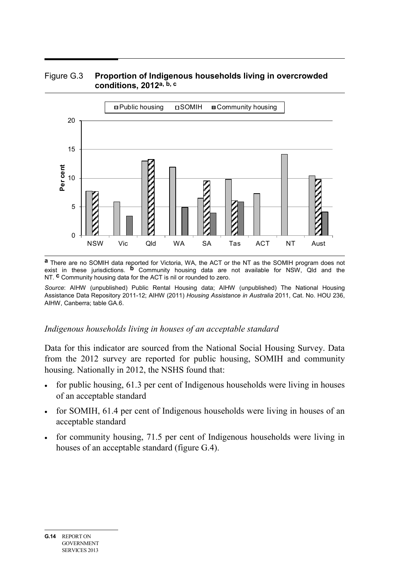



**a** There are no SOMIH data reported for Victoria, WA, the ACT or the NT as the SOMIH program does not exist in these jurisdictions. **b** Community housing data are not available for NSW, Qld and the NT. **c** Community housing data for the ACT is nil or rounded to zero.

*Source*: AIHW (unpublished) Public Rental Housing data; AIHW (unpublished) The National Housing Assistance Data Repository 2011-12; AIHW (2011) *Housing Assistance in Australia* 2011, Cat. No. HOU 236, AIHW, Canberra; table GA.6.

#### *Indigenous households living in houses of an acceptable standard*

Data for this indicator are sourced from the National Social Housing Survey. Data from the 2012 survey are reported for public housing, SOMIH and community housing. Nationally in 2012, the NSHS found that:

- for public housing, 61.3 per cent of Indigenous households were living in houses of an acceptable standard
- for SOMIH, 61.4 per cent of Indigenous households were living in houses of an acceptable standard
- for community housing, 71.5 per cent of Indigenous households were living in houses of an acceptable standard (figure G.4).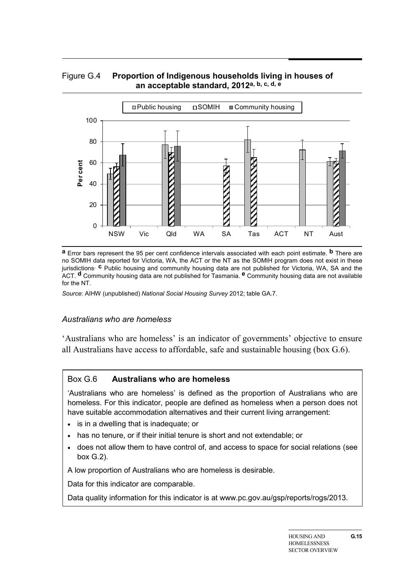#### Figure G.4 **Proportion of Indigenous households living in houses of an acceptable standard, 2012a, b, c, d, e**



**a** Error bars represent the 95 per cent confidence intervals associated with each point estimate. **b** There are no SOMIH data reported for Victoria, WA, the ACT or the NT as the SOMIH program does not exist in these jurisdictions. **c** Public housing and community housing data are not published for Victoria, WA, SA and the ACT. **d** Community housing data are not published for Tasmania. **e** Community housing data are not available for the NT.

*Source*: AIHW (unpublished) *National Social Housing Survey* 2012; table GA.7.

#### *Australians who are homeless*

'Australians who are homeless' is an indicator of governments' objective to ensure all Australians have access to affordable, safe and sustainable housing (box G.6).

#### Box G.6 **Australians who are homeless**

'Australians who are homeless' is defined as the proportion of Australians who are homeless. For this indicator, people are defined as homeless when a person does not have suitable accommodation alternatives and their current living arrangement:

- is in a dwelling that is inadequate; or
- has no tenure, or if their initial tenure is short and not extendable; or
- does not allow them to have control of, and access to space for social relations (see box G.2).

A low proportion of Australians who are homeless is desirable.

Data for this indicator are comparable.

Data quality information for this indicator is at www.pc.gov.au/gsp/reports/rogs/2013.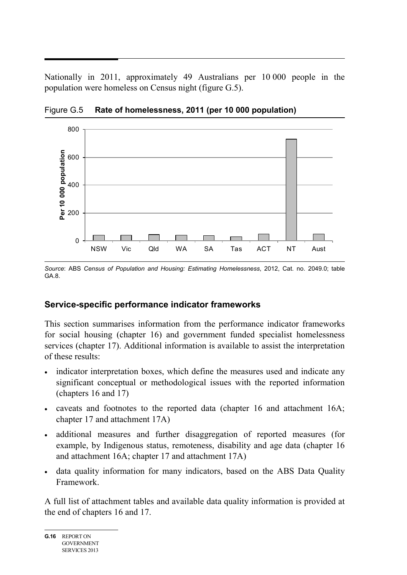Nationally in 2011, approximately 49 Australians per 10 000 people in the population were homeless on Census night (figure G.5).



Figure G.5 **Rate of homelessness, 2011 (per 10 000 population)**

*Source*: ABS *Census of Population and Housing: Estimating Homelessness*, 2012, Cat. no. 2049.0; table GA.8.

# **Service-specific performance indicator frameworks**

This section summarises information from the performance indicator frameworks for social housing (chapter 16) and government funded specialist homelessness services (chapter 17). Additional information is available to assist the interpretation of these results:

- indicator interpretation boxes, which define the measures used and indicate any significant conceptual or methodological issues with the reported information (chapters 16 and 17)
- caveats and footnotes to the reported data (chapter 16 and attachment 16A; chapter 17 and attachment 17A)
- additional measures and further disaggregation of reported measures (for example, by Indigenous status, remoteness, disability and age data (chapter 16 and attachment 16A; chapter 17 and attachment 17A)
- data quality information for many indicators, based on the ABS Data Quality Framework.

A full list of attachment tables and available data quality information is provided at the end of chapters 16 and 17.

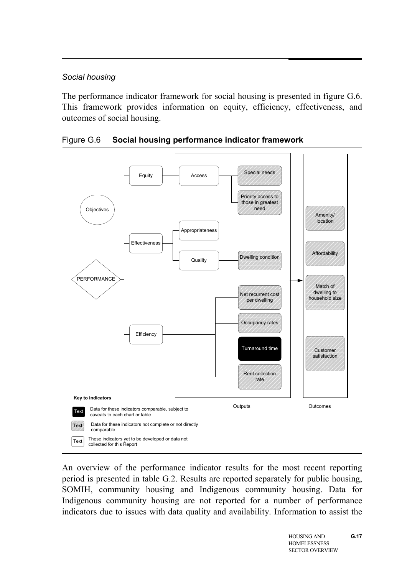### *Social housing*

The performance indicator framework for social housing is presented in figure G.6. This framework provides information on equity, efficiency, effectiveness, and outcomes of social housing.



Figure G.6 **Social housing performance indicator framework**

An overview of the performance indicator results for the most recent reporting period is presented in table G.2. Results are reported separately for public housing, SOMIH, community housing and Indigenous community housing. Data for Indigenous community housing are not reported for a number of performance indicators due to issues with data quality and availability. Information to assist the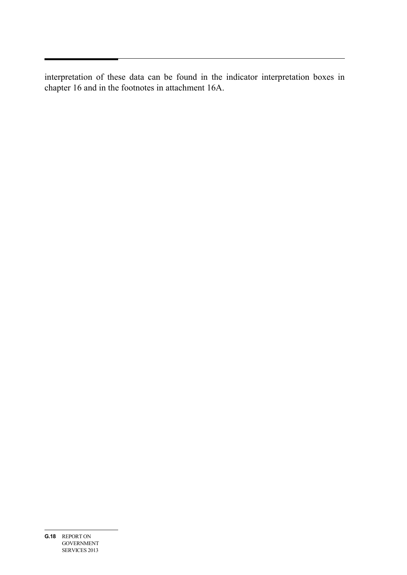interpretation of these data can be found in the indicator interpretation boxes in chapter 16 and in the footnotes in attachment 16A.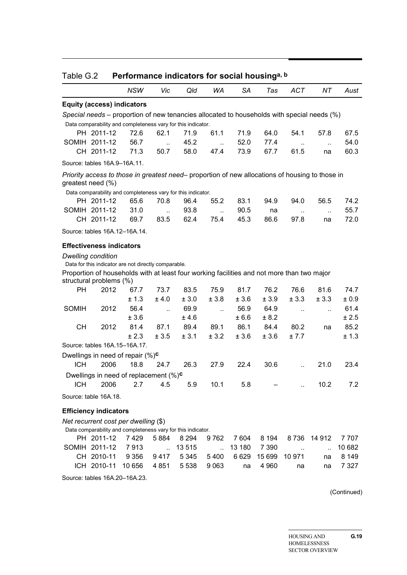| Table G.2    |                                                                                                                                                                                 | Performance indicators for social housing <sup>a, b</sup> |                      |         |                             |           |         |                      |           |         |  |  |  |
|--------------|---------------------------------------------------------------------------------------------------------------------------------------------------------------------------------|-----------------------------------------------------------|----------------------|---------|-----------------------------|-----------|---------|----------------------|-----------|---------|--|--|--|
|              |                                                                                                                                                                                 | <b>NSW</b>                                                | Vic                  | Qld     | WA                          | <b>SA</b> | Tas     | <b>ACT</b>           | ΝT        | Aust    |  |  |  |
|              | <b>Equity (access) indicators</b>                                                                                                                                               |                                                           |                      |         |                             |           |         |                      |           |         |  |  |  |
|              | Special needs - proportion of new tenancies allocated to households with special needs (%)                                                                                      |                                                           |                      |         |                             |           |         |                      |           |         |  |  |  |
|              | Data comparability and completeness vary for this indicator.                                                                                                                    |                                                           |                      |         |                             |           |         |                      |           |         |  |  |  |
|              | PH 2011-12                                                                                                                                                                      | 72.6                                                      | 62.1                 | 71.9    | 61.1                        | 71.9      | 64.0    | 54.1                 | 57.8      | 67.5    |  |  |  |
|              | SOMIH 2011-12                                                                                                                                                                   | 56.7                                                      | $\ddotsc$            | 45.2    | $\sim$                      | 52.0      | 77.4    | $\ddotsc$            | $\ddotsc$ | 54.0    |  |  |  |
|              | CH 2011-12                                                                                                                                                                      | 71.3                                                      | 50.7                 | 58.0    | 47.4                        | 73.9      | 67.7    | 61.5                 | na        | 60.3    |  |  |  |
|              | Source: tables 16A.9-16A.11.                                                                                                                                                    |                                                           |                      |         |                             |           |         |                      |           |         |  |  |  |
|              | Priority access to those in greatest need- proportion of new allocations of housing to those in<br>greatest need (%)                                                            |                                                           |                      |         |                             |           |         |                      |           |         |  |  |  |
|              | Data comparability and completeness vary for this indicator.                                                                                                                    |                                                           |                      |         |                             |           |         |                      |           |         |  |  |  |
|              | PH 2011-12                                                                                                                                                                      | 65.6                                                      | 70.8                 | 96.4    | 55.2                        | 83.1      | 94.9    | 94.0                 | 56.5      | 74.2    |  |  |  |
|              | SOMIH 2011-12                                                                                                                                                                   | 31.0                                                      | $\ddot{\phantom{a}}$ | 93.8    | $\mathcal{L}_{\mathcal{A}}$ | 90.5      | na      | $\ddotsc$            | $\ddotsc$ | 55.7    |  |  |  |
|              | CH 2011-12                                                                                                                                                                      | 69.7                                                      | 83.5                 | 62.4    | 75.4                        | 45.3      | 86.6    | 97.8                 | na        | 72.0    |  |  |  |
|              | Source: tables 16A.12-16A.14.                                                                                                                                                   |                                                           |                      |         |                             |           |         |                      |           |         |  |  |  |
|              | <b>Effectiveness indicators</b>                                                                                                                                                 |                                                           |                      |         |                             |           |         |                      |           |         |  |  |  |
|              | <b>Dwelling condition</b><br>Data for this indicator are not directly comparable.<br>Proportion of households with at least four working facilities and not more than two major |                                                           |                      |         |                             |           |         |                      |           |         |  |  |  |
|              | structural problems (%)                                                                                                                                                         |                                                           |                      |         |                             |           |         |                      |           |         |  |  |  |
| <b>PH</b>    | 2012                                                                                                                                                                            | 67.7                                                      | 73.7                 | 83.5    | 75.9                        | 81.7      | 76.2    | 76.6                 | 81.6      | 74.7    |  |  |  |
|              |                                                                                                                                                                                 | ± 1.3                                                     | ± 4.0                | ± 3.0   | ± 3.8                       | ± 3.6     | ± 3.9   | ± 3.3                | ± 3.3     | ± 0.9   |  |  |  |
| <b>SOMIH</b> | 2012                                                                                                                                                                            | 56.4                                                      | $\ddotsc$            | 69.9    | $\mathcal{L}$               | 56.9      | 64.9    | $\ddot{\phantom{a}}$ | ä,        | 61.4    |  |  |  |
|              |                                                                                                                                                                                 | ± 3.6                                                     |                      | ±4.6    |                             | ± 6.6     | ± 8.2   |                      |           | ± 2.5   |  |  |  |
| <b>CH</b>    | 2012                                                                                                                                                                            | 81.4                                                      | 87.1                 | 89.4    | 89.1                        | 86.1      | 84.4    | 80.2                 | na        | 85.2    |  |  |  |
|              | Source: tables 16A.15-16A.17.                                                                                                                                                   | ± 2.3                                                     | ± 3.5                | ± 3.1   | ± 3.2                       | ± 3.6     | ± 3.6   | ± 7.7                |           | ± 1.3   |  |  |  |
|              |                                                                                                                                                                                 |                                                           |                      |         |                             |           |         |                      |           |         |  |  |  |
|              | Dwellings in need of repair $(\%)^c$                                                                                                                                            |                                                           |                      |         |                             |           |         |                      |           |         |  |  |  |
| <b>ICH</b>   | 2006                                                                                                                                                                            | 18.8                                                      | 24.7                 | 26.3    | 27.9                        | 22.4      | 30.6    | $\ddot{\phantom{a}}$ | 21.0      | 23.4    |  |  |  |
|              | Dwellings in need of replacement $(\%)^c$                                                                                                                                       |                                                           |                      |         |                             |           |         |                      |           |         |  |  |  |
| <b>ICH</b>   | 2006                                                                                                                                                                            | 2.7                                                       | 4.5                  | 5.9     | 10.1                        | 5.8       |         | $\ddot{\phantom{a}}$ | 10.2      | 7.2     |  |  |  |
|              | Source: table 16A.18.                                                                                                                                                           |                                                           |                      |         |                             |           |         |                      |           |         |  |  |  |
|              | <b>Efficiency indicators</b>                                                                                                                                                    |                                                           |                      |         |                             |           |         |                      |           |         |  |  |  |
|              | Net recurrent cost per dwelling (\$)<br>Data comparability and completeness vary for this indicator.                                                                            |                                                           |                      |         |                             |           |         |                      |           |         |  |  |  |
|              | PH 2011-12                                                                                                                                                                      | 7429                                                      | 5884                 | 8 2 9 4 | 9762                        | 7 604     | 8 1 9 4 | 8736                 | 14 912    | 7 707   |  |  |  |
|              | SOMIH 2011-12                                                                                                                                                                   | 7913                                                      | $\ddot{\phantom{a}}$ | 13 5 15 | $\ddot{\phantom{a}}$        | 13 180    | 7 3 9 0 | $\sim$               | $\ddotsc$ | 10 682  |  |  |  |
|              | CH 2010-11                                                                                                                                                                      | 9 3 5 6                                                   | 9417                 | 5 3 4 5 | 5400                        | 6629      | 15 699  | 10 971               | na        | 8 1 4 9 |  |  |  |
|              | ICH 2010-11                                                                                                                                                                     | 10 656                                                    | 4 8 5 1              | 5 5 3 8 | 9 0 6 3                     | na        | 4 9 6 0 | na                   | na        | 7 3 2 7 |  |  |  |
|              | Source: tables 16A.20-16A.23.                                                                                                                                                   |                                                           |                      |         |                             |           |         |                      |           |         |  |  |  |

(Continued)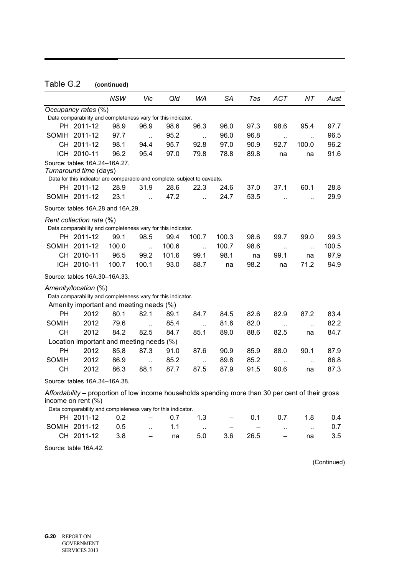# Table G.2 **(continued)**

|              |                                                                                                   | NSW   | Vic                  | Qld   | WA                           | SА                       | Tas  | ACT                  | NΤ                   | Aust  |
|--------------|---------------------------------------------------------------------------------------------------|-------|----------------------|-------|------------------------------|--------------------------|------|----------------------|----------------------|-------|
|              |                                                                                                   |       |                      |       |                              |                          |      |                      |                      |       |
|              | Occupancy rates (%)<br>Data comparability and completeness vary for this indicator.               |       |                      |       |                              |                          |      |                      |                      |       |
|              | PH 2011-12                                                                                        | 98.9  | 96.9                 | 98.6  | 96.3                         | 96.0                     | 97.3 | 98.6                 | 95.4                 | 97.7  |
|              | SOMIH 2011-12                                                                                     | 97.7  |                      | 95.2  |                              | 96.0                     | 96.8 |                      |                      | 96.5  |
|              | CH 2011-12                                                                                        | 98.1  | $\ddotsc$<br>94.4    | 95.7  | $\ddot{\phantom{a}}$<br>92.8 | 97.0                     | 90.9 | $\ldots$<br>92.7     | Ω,<br>100.0          | 96.2  |
|              | ICH 2010-11                                                                                       | 96.2  | 95.4                 | 97.0  | 79.8                         | 78.8                     | 89.8 | na                   | na                   | 91.6  |
|              | Source: tables 16A.24-16A.27.                                                                     |       |                      |       |                              |                          |      |                      |                      |       |
|              | Turnaround time (days)                                                                            |       |                      |       |                              |                          |      |                      |                      |       |
|              | Data for this indicator are comparable and complete, subject to caveats.                          |       |                      |       |                              |                          |      |                      |                      |       |
|              | PH 2011-12                                                                                        | 28.9  | 31.9                 | 28.6  | 22.3                         | 24.6                     | 37.0 | 37.1                 | 60.1                 | 28.8  |
|              | SOMIH 2011-12                                                                                     | 23.1  | $\ddot{\phantom{a}}$ | 47.2  | ă.                           | 24.7                     | 53.5 | $\ddot{\phantom{a}}$ | ä.                   | 29.9  |
|              | Source: tables 16A.28 and 16A.29.                                                                 |       |                      |       |                              |                          |      |                      |                      |       |
|              | Rent collection rate (%)                                                                          |       |                      |       |                              |                          |      |                      |                      |       |
|              | Data comparability and completeness vary for this indicator.                                      |       |                      |       |                              |                          |      |                      |                      |       |
|              | PH 2011-12                                                                                        | 99.1  | 98.5                 | 99.4  | 100.7                        | 100.3                    | 98.6 | 99.7                 | 99.0                 | 99.3  |
|              | SOMIH 2011-12                                                                                     | 100.0 | $\ddot{\phantom{a}}$ | 100.6 | $\ddotsc$                    | 100.7                    | 98.6 | $\ddotsc$            | $\ddotsc$            | 100.5 |
|              | CH 2010-11                                                                                        | 96.5  | 99.2                 | 101.6 | 99.1                         | 98.1                     | na   | 99.1                 | na                   | 97.9  |
|              | ICH 2010-11                                                                                       | 100.7 | 100.1                | 93.0  | 88.7                         | na                       | 98.2 | na                   | 71.2                 | 94.9  |
|              | Source: tables 16A.30-16A.33.                                                                     |       |                      |       |                              |                          |      |                      |                      |       |
|              | Amenity/location (%)                                                                              |       |                      |       |                              |                          |      |                      |                      |       |
|              | Data comparability and completeness vary for this indicator.                                      |       |                      |       |                              |                          |      |                      |                      |       |
|              | Amenity important and meeting needs (%)                                                           |       |                      |       |                              |                          |      |                      |                      |       |
| PН           | 2012                                                                                              | 80.1  | 82.1                 | 89.1  | 84.7                         | 84.5                     | 82.6 | 82.9                 | 87.2                 | 83.4  |
| <b>SOMIH</b> | 2012                                                                                              | 79.6  | $\ddot{\phantom{a}}$ | 85.4  | $\ddotsc$                    | 81.6                     | 82.0 | $\ddotsc$            | $\ddotsc$            | 82.2  |
| CН           | 2012                                                                                              | 84.2  | 82.5                 | 84.7  | 85.1                         | 89.0                     | 88.6 | 82.5                 | na                   | 84.7  |
|              | Location important and meeting needs (%)                                                          |       |                      |       |                              |                          |      |                      |                      |       |
| PН           | 2012                                                                                              | 85.8  | 87.3                 | 91.0  | 87.6                         | 90.9                     | 85.9 | 88.0                 | 90.1                 | 87.9  |
| <b>SOMIH</b> | 2012                                                                                              | 86.9  | $\ddot{\phantom{a}}$ | 85.2  | $\ddot{\phantom{a}}$         | 89.8                     | 85.2 | Ω,                   | $\ddot{\phantom{a}}$ | 86.8  |
| CН           | 2012                                                                                              | 86.3  | 88.1                 | 87.7  | 87.5                         | 87.9                     | 91.5 | 90.6                 | na                   | 87.3  |
|              | Source: tables 16A.34-16A.38.                                                                     |       |                      |       |                              |                          |      |                      |                      |       |
|              | Affordability – proportion of low income households spending more than 30 per cent of their gross |       |                      |       |                              |                          |      |                      |                      |       |
|              | income on rent (%)                                                                                |       |                      |       |                              |                          |      |                      |                      |       |
|              | Data comparability and completeness vary for this indicator.                                      |       |                      |       |                              |                          |      |                      |                      |       |
|              | PH 2011-12                                                                                        | 0.2   |                      | 0.7   | 1.3                          | $\overline{\phantom{0}}$ | 0.1  | 0.7                  | 1.8                  | 0.4   |
|              | SOMIH 2011-12                                                                                     | 0.5   |                      | 1.1   | $\ddot{\phantom{a}}$         |                          |      | $\ddot{\phantom{a}}$ | $\ddot{\phantom{a}}$ | 0.7   |
|              | CH 2011-12                                                                                        | 3.8   |                      | na    | 5.0                          | 3.6                      | 26.5 |                      | na                   | 3.5   |
|              |                                                                                                   |       |                      |       |                              |                          |      |                      |                      |       |

Source: table 16A.42.

(Continued)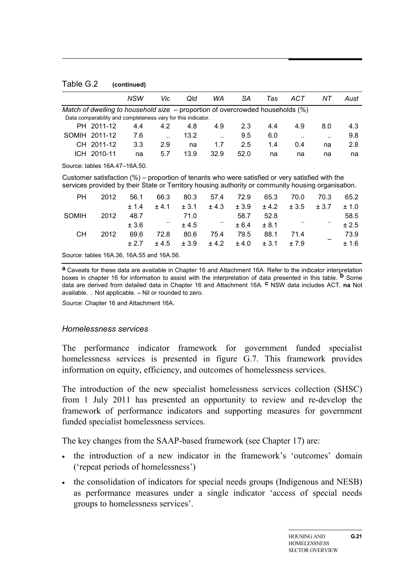Table G.2 **(continued)**

|                                                                                                                                                                                                          |                                                                                     | NSW   | Vic                  | Qld   | WA     | SА    | Tas   | ACT       | NΤ    | Aust  |
|----------------------------------------------------------------------------------------------------------------------------------------------------------------------------------------------------------|-------------------------------------------------------------------------------------|-------|----------------------|-------|--------|-------|-------|-----------|-------|-------|
|                                                                                                                                                                                                          | Match of dwelling to household size $-$ proportion of overcrowded households $(\%)$ |       |                      |       |        |       |       |           |       |       |
|                                                                                                                                                                                                          | Data comparability and completeness vary for this indicator.                        |       |                      |       |        |       |       |           |       |       |
|                                                                                                                                                                                                          | PH 2011-12                                                                          | 4.4   | 4.2                  | 4.8   | 4.9    | 2.3   | 4.4   | 4.9       | 8.0   | 4.3   |
|                                                                                                                                                                                                          | SOMIH 2011-12                                                                       | 7.6   | $\ddot{\phantom{a}}$ | 13.2  |        | 9.5   | 6.0   | $\cdot$ . |       | 9.8   |
|                                                                                                                                                                                                          | CH 2011-12                                                                          | 3.3   | 2.9                  | na    | 1.7    | 2.5   | 1.4   | 0.4       | na    | 2.8   |
|                                                                                                                                                                                                          | ICH 2010-11                                                                         | na    | 5.7                  | 13.9  | 32.9   | 52.0  | na    | na        | na    | na    |
|                                                                                                                                                                                                          | Source: tables 16A.47-16A.50.                                                       |       |                      |       |        |       |       |           |       |       |
| Customer satisfaction $(\%)$ – proportion of tenants who were satisfied or very satisfied with the<br>services provided by their State or Territory housing authority or community housing organisation. |                                                                                     |       |                      |       |        |       |       |           |       |       |
| <b>PH</b>                                                                                                                                                                                                | 2012                                                                                | 56.1  | 66.3                 | 80.3  | 57.4   | 72.9  | 65.3  | 70.0      | 70.3  | 65.2  |
|                                                                                                                                                                                                          |                                                                                     | ± 1.4 | $+4.1$               | ± 3.1 | ± 4.3  | ± 3.9 | ± 4.2 | ± 3.5     | ± 3.7 | ± 1.0 |
| <b>SOMIH</b>                                                                                                                                                                                             | 2012                                                                                | 48.7  |                      | 71.0  |        | 58.7  | 52.8  |           |       | 58.5  |
|                                                                                                                                                                                                          |                                                                                     | ± 3.6 |                      | ± 4.5 | $\sim$ | ± 6.4 | ± 8.1 |           | ٠.    | ± 2.5 |
| CН                                                                                                                                                                                                       | 2012                                                                                | 69.6  | 72.8                 | 80.6  | 75.4   | 79.5  | 88.1  | 71.4      |       | 73.9  |
|                                                                                                                                                                                                          |                                                                                     | ± 2.7 | ± 4.5                | ± 3.9 | ± 4.2  | ± 4.0 | ± 3.1 | ±7.9      |       | ±1.6  |

Source: tables 16A.36, 16A.55 and 16A.56.

**a** Caveats for these data are available in Chapter 16 and Attachment 16A. Refer to the indicator interpretation boxes in chapter 16 for information to assist with the interpretation of data presented in this table. **b** Some data are derived from detailed data in Chapter 16 and Attachment 16A. **c** NSW data includes ACT. **na** Not available. .. Not applicable. – Nil or rounded to zero.

*Source*: Chapter 16 and Attachment 16A.

#### *Homelessness services*

The performance indicator framework for government funded specialist homelessness services is presented in figure G.7. This framework provides information on equity, efficiency, and outcomes of homelessness services.

The introduction of the new specialist homelessness services collection (SHSC) from 1 July 2011 has presented an opportunity to review and re-develop the framework of performance indicators and supporting measures for government funded specialist homelessness services.

The key changes from the SAAP-based framework (see Chapter 17) are:

- the introduction of a new indicator in the framework's 'outcomes' domain ('repeat periods of homelessness')
- the consolidation of indicators for special needs groups (Indigenous and NESB) as performance measures under a single indicator 'access of special needs groups to homelessness services'.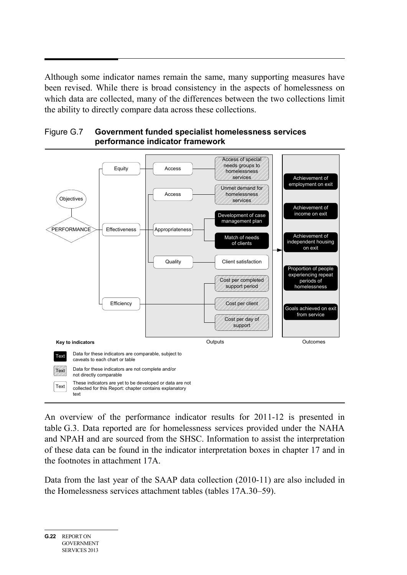Although some indicator names remain the same, many supporting measures have been revised. While there is broad consistency in the aspects of homelessness on which data are collected, many of the differences between the two collections limit the ability to directly compare data across these collections.



Figure G.7 **Government funded specialist homelessness services performance indicator framework**

An overview of the performance indicator results for 2011-12 is presented in table G.3. Data reported are for homelessness services provided under the NAHA and NPAH and are sourced from the SHSC. Information to assist the interpretation of these data can be found in the indicator interpretation boxes in chapter 17 and in the footnotes in attachment 17A.

Data from the last year of the SAAP data collection (2010-11) are also included in the Homelessness services attachment tables (tables 17A.30–59).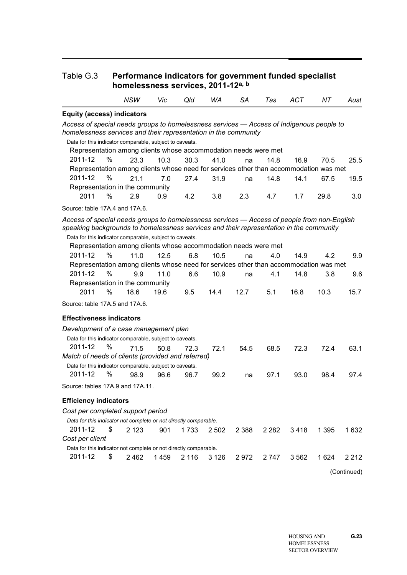#### Table G.3 **Performance indicators for government funded specialist homelessness services, 2011-12a, b**

|                                                                                             | <b>NSW</b> | Vic  | Qld     | WA      | SA      | Tas     | ACT     | NΤ      | Aust    |
|---------------------------------------------------------------------------------------------|------------|------|---------|---------|---------|---------|---------|---------|---------|
| <b>Equity (access) indicators</b>                                                           |            |      |         |         |         |         |         |         |         |
| Access of special needs groups to homelessness services - Access of Indigenous people to    |            |      |         |         |         |         |         |         |         |
| homelessness services and their representation in the community                             |            |      |         |         |         |         |         |         |         |
| Data for this indicator comparable, subject to caveats.                                     |            |      |         |         |         |         |         |         |         |
| Representation among clients whose accommodation needs were met                             |            |      |         |         |         |         |         |         |         |
| %<br>2011-12                                                                                | 23.3       | 10.3 | 30.3    | 41.0    | na      | 14.8    | 16.9    | 70.5    | 25.5    |
| Representation among clients whose need for services other than accommodation was met       |            |      |         |         |         |         |         |         |         |
| 2011-12<br>$\%$                                                                             | 21.1       | 7.0  | 27.4    | 31.9    | na      | 14.8    | 14.1    | 67.5    | 19.5    |
| Representation in the community                                                             |            |      |         |         |         |         |         |         |         |
| %<br>2011                                                                                   | 2.9        | 0.9  | 4.2     | 3.8     | 2.3     | 4.7     | 1.7     | 29.8    | 3.0     |
| Source: table 17A.4 and 17A.6.                                                              |            |      |         |         |         |         |         |         |         |
| Access of special needs groups to homelessness services - Access of people from non-English |            |      |         |         |         |         |         |         |         |
| speaking backgrounds to homelessness services and their representation in the community     |            |      |         |         |         |         |         |         |         |
| Data for this indicator comparable, subject to caveats.                                     |            |      |         |         |         |         |         |         |         |
| Representation among clients whose accommodation needs were met                             |            |      |         |         |         |         |         |         |         |
| %<br>2011-12                                                                                | 11.0       | 12.5 | 6.8     | 10.5    | na      | 4.0     | 14.9    | 4.2     | 9.9     |
| Representation among clients whose need for services other than accommodation was met       |            |      |         |         |         |         |         |         |         |
| 2011-12<br>%                                                                                | 9.9        | 11.0 | 6.6     | 10.9    | na      | 4.1     | 14.8    | 3.8     | 9.6     |
| Representation in the community                                                             |            |      |         |         |         |         |         |         |         |
| 2011<br>%                                                                                   | 18.6       | 19.6 | 9.5     | 14.4    | 12.7    | 5.1     | 16.8    | 10.3    | 15.7    |
| Source: table 17A.5 and 17A.6.                                                              |            |      |         |         |         |         |         |         |         |
| <b>Effectiveness indicators</b>                                                             |            |      |         |         |         |         |         |         |         |
| Development of a case management plan                                                       |            |      |         |         |         |         |         |         |         |
| Data for this indicator comparable, subject to caveats.                                     |            |      |         |         |         |         |         |         |         |
| 2011-12<br>%                                                                                | 71.5       | 50.8 | 72.3    | 72.1    | 54.5    | 68.5    | 72.3    | 72.4    | 63.1    |
| Match of needs of clients (provided and referred)                                           |            |      |         |         |         |         |         |         |         |
| Data for this indicator comparable, subject to caveats.                                     |            |      |         |         |         |         |         |         |         |
| 2011-12<br>$\%$                                                                             | 98.9       | 96.6 | 96.7    | 99.2    | na      | 97.1    | 93.0    | 98.4    | 97.4    |
| Source: tables 17A.9 and 17A.11.                                                            |            |      |         |         |         |         |         |         |         |
| <b>Efficiency indicators</b>                                                                |            |      |         |         |         |         |         |         |         |
| Cost per completed support period                                                           |            |      |         |         |         |         |         |         |         |
| Data for this indicator not complete or not directly comparable.                            |            |      |         |         |         |         |         |         |         |
| 2011-12<br>\$                                                                               | 2 1 2 3    | 901  | 1733    | 2 5 0 2 | 2 3 8 8 | 2 2 8 2 | 3418    | 1 3 9 5 | 1 6 3 2 |
| Cost per client                                                                             |            |      |         |         |         |         |         |         |         |
| Data for this indicator not complete or not directly comparable.                            |            |      |         |         |         |         |         |         |         |
| 2011-12<br>\$                                                                               | 2462       | 1459 | 2 1 1 6 | 3 1 2 6 | 2972    | 2 7 4 7 | 3 5 6 2 | 1 6 2 4 | 2 2 1 2 |
|                                                                                             |            |      |         |         |         |         |         |         |         |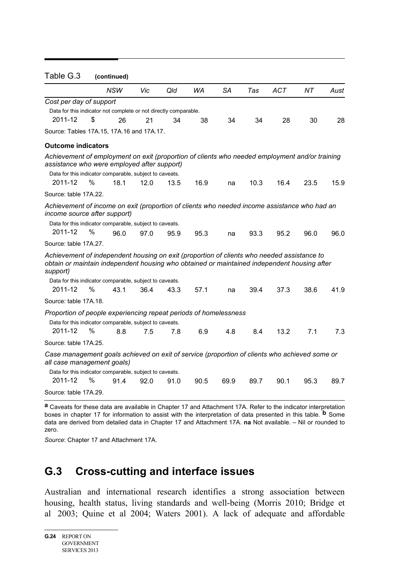| Table G.3                                                                                                                                                                                                |      | (continued) |      |      |      |           |      |            |      |      |
|----------------------------------------------------------------------------------------------------------------------------------------------------------------------------------------------------------|------|-------------|------|------|------|-----------|------|------------|------|------|
|                                                                                                                                                                                                          |      | NSW         | Vic  | Qld  | WA   | <b>SA</b> | Tas  | <b>ACT</b> | NT.  | Aust |
| Cost per day of support                                                                                                                                                                                  |      |             |      |      |      |           |      |            |      |      |
| Data for this indicator not complete or not directly comparable.                                                                                                                                         |      |             |      |      |      |           |      |            |      |      |
| 2011-12                                                                                                                                                                                                  | \$   | 26          | 21   | 34   | 38   | 34        | 34   | 28         | 30   | 28   |
| Source: Tables 17A.15, 17A.16 and 17A.17.                                                                                                                                                                |      |             |      |      |      |           |      |            |      |      |
| <b>Outcome indicators</b>                                                                                                                                                                                |      |             |      |      |      |           |      |            |      |      |
| Achievement of employment on exit (proportion of clients who needed employment and/or training<br>assistance who were employed after support)<br>Data for this indicator comparable, subject to caveats. |      |             |      |      |      |           |      |            |      |      |
| 2011-12                                                                                                                                                                                                  | %    | 18.1        | 12.0 | 13.5 | 16.9 | na        | 10.3 | 16.4       | 23.5 | 15.9 |
| Source: table 17A.22.                                                                                                                                                                                    |      |             |      |      |      |           |      |            |      |      |
| Achievement of income on exit (proportion of clients who needed income assistance who had an<br>income source after support)                                                                             |      |             |      |      |      |           |      |            |      |      |
| Data for this indicator comparable, subject to caveats.                                                                                                                                                  |      |             |      |      |      |           |      |            |      |      |
| 2011-12                                                                                                                                                                                                  | %    | 96.0        | 97.0 | 95.9 | 95.3 | na        | 93.3 | 95.2       | 96.0 | 96.0 |
| Source: table 17A.27.                                                                                                                                                                                    |      |             |      |      |      |           |      |            |      |      |
| Achievement of independent housing on exit (proportion of clients who needed assistance to<br>obtain or maintain independent housing who obtained or maintained independent housing after<br>support)    |      |             |      |      |      |           |      |            |      |      |
| Data for this indicator comparable, subject to caveats.                                                                                                                                                  |      |             |      |      |      |           |      |            |      |      |
| 2011-12                                                                                                                                                                                                  | %    | 43.1        | 36.4 | 43.3 | 57.1 | na        | 39.4 | 37.3       | 38.6 | 41.9 |
| Source: table 17A.18.                                                                                                                                                                                    |      |             |      |      |      |           |      |            |      |      |
| Proportion of people experiencing repeat periods of homelessness                                                                                                                                         |      |             |      |      |      |           |      |            |      |      |
| Data for this indicator comparable, subject to caveats.                                                                                                                                                  |      |             |      |      |      |           |      |            |      |      |
| 2011-12                                                                                                                                                                                                  | $\%$ | 8.8         | 7.5  | 7.8  | 6.9  | 4.8       | 8.4  | 13.2       | 7.1  | 7.3  |
| Source: table 17A.25.                                                                                                                                                                                    |      |             |      |      |      |           |      |            |      |      |
| Case management goals achieved on exit of service (proportion of clients who achieved some or<br>all case management goals)                                                                              |      |             |      |      |      |           |      |            |      |      |
| Data for this indicator comparable, subject to caveats.                                                                                                                                                  |      |             |      |      |      |           |      |            |      |      |
| 2011-12                                                                                                                                                                                                  | %    | 91.4        | 92.0 | 91.0 | 90.5 | 69.9      | 89.7 | 90.1       | 95.3 | 89.7 |
| Source: table 17A.29.                                                                                                                                                                                    |      |             |      |      |      |           |      |            |      |      |

**a** Caveats for these data are available in Chapter 17 and Attachment 17A. Refer to the indicator interpretation boxes in chapter 17 for information to assist with the interpretation of data presented in this table. **b** Some data are derived from detailed data in Chapter 17 and Attachment 17A. **na** Not available. – Nil or rounded to zero.

*Source*: Chapter 17 and Attachment 17A.

# **G.3 Cross-cutting and interface issues**

Australian and international research identifies a strong association between housing, health status, living standards and well-being (Morris 2010; Bridge et al 2003; Quine et al 2004; Waters 2001). A lack of adequate and affordable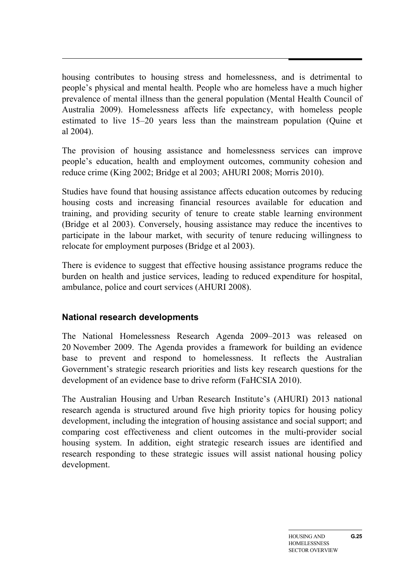housing contributes to housing stress and homelessness, and is detrimental to people's physical and mental health. People who are homeless have a much higher prevalence of mental illness than the general population (Mental Health Council of Australia 2009). Homelessness affects life expectancy, with homeless people estimated to live 15–20 years less than the mainstream population (Quine et al 2004).

The provision of housing assistance and homelessness services can improve people's education, health and employment outcomes, community cohesion and reduce crime (King 2002; Bridge et al 2003; AHURI 2008; Morris 2010).

Studies have found that housing assistance affects education outcomes by reducing housing costs and increasing financial resources available for education and training, and providing security of tenure to create stable learning environment (Bridge et al 2003). Conversely, housing assistance may reduce the incentives to participate in the labour market, with security of tenure reducing willingness to relocate for employment purposes (Bridge et al 2003).

There is evidence to suggest that effective housing assistance programs reduce the burden on health and justice services, leading to reduced expenditure for hospital, ambulance, police and court services (AHURI 2008).

# **National research developments**

The National Homelessness Research Agenda 2009–2013 was released on 20 November 2009. The Agenda provides a framework for building an evidence base to prevent and respond to homelessness. It reflects the Australian Government's strategic research priorities and lists key research questions for the development of an evidence base to drive reform (FaHCSIA 2010).

The Australian Housing and Urban Research Institute's (AHURI) 2013 national research agenda is structured around five high priority topics for housing policy development, including the integration of housing assistance and social support; and comparing cost effectiveness and client outcomes in the multi-provider social housing system. In addition, eight strategic research issues are identified and research responding to these strategic issues will assist national housing policy development.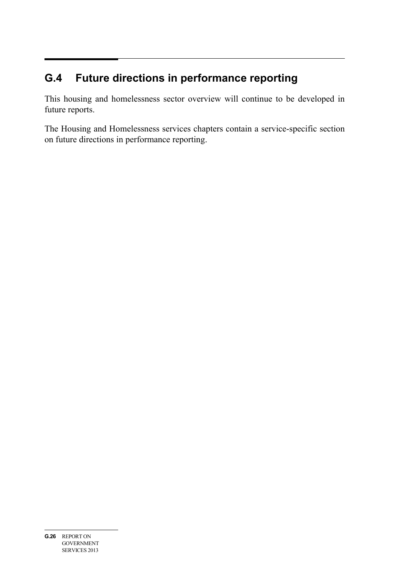# **G.4 Future directions in performance reporting**

This housing and homelessness sector overview will continue to be developed in future reports.

The Housing and Homelessness services chapters contain a service-specific section on future directions in performance reporting.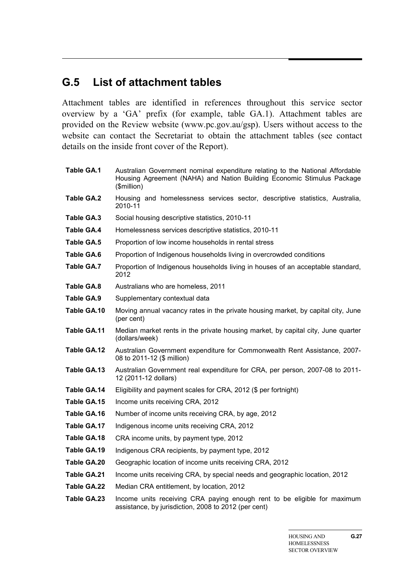# **G.5 List of attachment tables**

Attachment tables are identified in references throughout this service sector overview by a 'GA' prefix (for example, table GA.1). Attachment tables are provided on the Review website (www.pc.gov.au/gsp). Users without access to the website can contact the Secretariat to obtain the attachment tables (see contact details on the inside front cover of the Report).

**Table GA.1** Australian Government nominal expenditure relating to the National Affordable Housing Agreement (NAHA) and Nation Building Economic Stimulus Package (\$million) **Table GA.2** Housing and homelessness services sector, descriptive statistics, Australia, 2010-11 **Table GA.3** Social housing descriptive statistics, 2010-11 **Table GA.4** Homelessness services descriptive statistics, 2010-11 Table GA.5 Proportion of low income households in rental stress **Table GA.6** Proportion of Indigenous households living in overcrowded conditions **Table GA.7** Proportion of Indigenous households living in houses of an acceptable standard, 2012 **Table GA.8** Australians who are homeless, 2011 Table GA.9 Supplementary contextual data **Table GA.10** Moving annual vacancy rates in the private housing market, by capital city, June (per cent) **Table GA.11** Median market rents in the private housing market, by capital city, June quarter (dollars/week) **Table GA.12** Australian Government expenditure for Commonwealth Rent Assistance, 2007- 08 to 2011-12 (\$ million) **Table GA.13** Australian Government real expenditure for CRA, per person, 2007-08 to 2011- 12 (2011-12 dollars) **Table GA.14** Eligibility and payment scales for CRA, 2012 (\$ per fortnight) **Table GA.15** Income units receiving CRA, 2012 **Table GA.16** Number of income units receiving CRA, by age, 2012 **Table GA.17** Indigenous income units receiving CRA, 2012 **Table GA.18** CRA income units, by payment type, 2012 **Table GA.19** Indigenous CRA recipients, by payment type, 2012 **Table GA.20** Geographic location of income units receiving CRA, 2012 **Table GA.21** Income units receiving CRA, by special needs and geographic location, 2012 **Table GA.22** Median CRA entitlement, by location, 2012 **Table GA.23** Income units receiving CRA paying enough rent to be eligible for maximum assistance, by jurisdiction, 2008 to 2012 (per cent)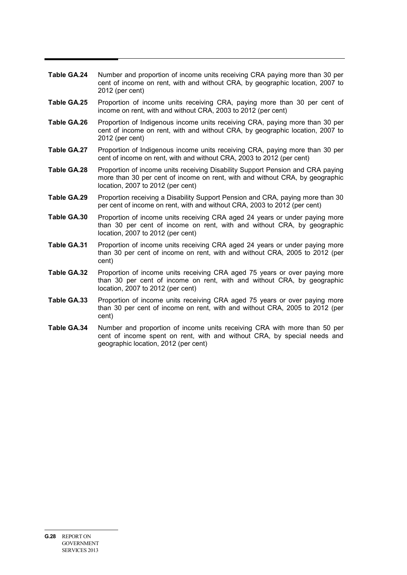- **Table GA.24** Number and proportion of income units receiving CRA paying more than 30 per cent of income on rent, with and without CRA, by geographic location, 2007 to 2012 (per cent)
- **Table GA.25** Proportion of income units receiving CRA, paying more than 30 per cent of income on rent, with and without CRA, 2003 to 2012 (per cent)
- **Table GA.26** Proportion of Indigenous income units receiving CRA, paying more than 30 per cent of income on rent, with and without CRA, by geographic location, 2007 to 2012 (per cent)
- **Table GA.27** Proportion of Indigenous income units receiving CRA, paying more than 30 per cent of income on rent, with and without CRA, 2003 to 2012 (per cent)
- **Table GA.28** Proportion of income units receiving Disability Support Pension and CRA paying more than 30 per cent of income on rent, with and without CRA, by geographic location, 2007 to 2012 (per cent)
- **Table GA.29** Proportion receiving a Disability Support Pension and CRA, paying more than 30 per cent of income on rent, with and without CRA, 2003 to 2012 (per cent)
- **Table GA.30** Proportion of income units receiving CRA aged 24 years or under paying more than 30 per cent of income on rent, with and without CRA, by geographic location, 2007 to 2012 (per cent)
- **Table GA.31** Proportion of income units receiving CRA aged 24 years or under paying more than 30 per cent of income on rent, with and without CRA, 2005 to 2012 (per cent)
- **Table GA.32** Proportion of income units receiving CRA aged 75 years or over paying more than 30 per cent of income on rent, with and without CRA, by geographic location, 2007 to 2012 (per cent)
- **Table GA.33** Proportion of income units receiving CRA aged 75 years or over paying more than 30 per cent of income on rent, with and without CRA, 2005 to 2012 (per cent)
- **Table GA.34** Number and proportion of income units receiving CRA with more than 50 per cent of income spent on rent, with and without CRA, by special needs and geographic location, 2012 (per cent)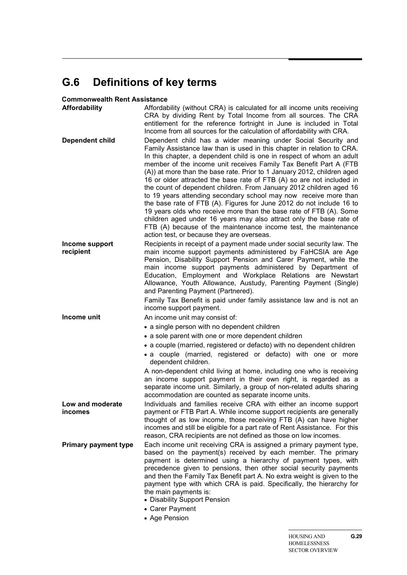# **G.6 Definitions of key terms**

#### **Commonwealth Rent Assistance**

| Affordability                      | Affordability (without CRA) is calculated for all income units receiving<br>CRA by dividing Rent by Total Income from all sources. The CRA<br>entitlement for the reference fortnight in June is included in Total<br>Income from all sources for the calculation of affordability with CRA.                                                                                                                                                                                                                                                                                                                                                                                                                                                                                                                                                                                                                               |
|------------------------------------|----------------------------------------------------------------------------------------------------------------------------------------------------------------------------------------------------------------------------------------------------------------------------------------------------------------------------------------------------------------------------------------------------------------------------------------------------------------------------------------------------------------------------------------------------------------------------------------------------------------------------------------------------------------------------------------------------------------------------------------------------------------------------------------------------------------------------------------------------------------------------------------------------------------------------|
| <b>Dependent child</b>             | Dependent child has a wider meaning under Social Security and<br>Family Assistance law than is used in this chapter in relation to CRA.<br>In this chapter, a dependent child is one in respect of whom an adult<br>member of the income unit receives Family Tax Benefit Part A (FTB<br>(A)) at more than the base rate. Prior to 1 January 2012, children aged<br>16 or older attracted the base rate of FTB (A) so are not included in<br>the count of dependent children. From January 2012 children aged 16<br>to 19 years attending secondary school may now receive more than<br>the base rate of FTB (A). Figures for June 2012 do not include 16 to<br>19 years olds who receive more than the base rate of FTB (A). Some<br>children aged under 16 years may also attract only the base rate of<br>FTB (A) because of the maintenance income test, the maintenance<br>action test, or because they are overseas. |
| Income support                     | Recipients in receipt of a payment made under social security law. The                                                                                                                                                                                                                                                                                                                                                                                                                                                                                                                                                                                                                                                                                                                                                                                                                                                     |
| recipient                          | main income support payments administered by FaHCSIA are Age<br>Pension, Disability Support Pension and Carer Payment, while the<br>main income support payments administered by Department of<br>Education, Employment and Workplace Relations are Newstart<br>Allowance, Youth Allowance, Austudy, Parenting Payment (Single)<br>and Parenting Payment (Partnered).<br>Family Tax Benefit is paid under family assistance law and is not an                                                                                                                                                                                                                                                                                                                                                                                                                                                                              |
|                                    | income support payment.                                                                                                                                                                                                                                                                                                                                                                                                                                                                                                                                                                                                                                                                                                                                                                                                                                                                                                    |
| Income unit                        | An income unit may consist of:                                                                                                                                                                                                                                                                                                                                                                                                                                                                                                                                                                                                                                                                                                                                                                                                                                                                                             |
|                                    | • a single person with no dependent children                                                                                                                                                                                                                                                                                                                                                                                                                                                                                                                                                                                                                                                                                                                                                                                                                                                                               |
|                                    | • a sole parent with one or more dependent children                                                                                                                                                                                                                                                                                                                                                                                                                                                                                                                                                                                                                                                                                                                                                                                                                                                                        |
|                                    | • a couple (married, registered or defacto) with no dependent children                                                                                                                                                                                                                                                                                                                                                                                                                                                                                                                                                                                                                                                                                                                                                                                                                                                     |
|                                    | • a couple (married, registered or defacto) with one or more<br>dependent children.                                                                                                                                                                                                                                                                                                                                                                                                                                                                                                                                                                                                                                                                                                                                                                                                                                        |
|                                    | A non-dependent child living at home, including one who is receiving<br>an income support payment in their own right, is regarded as a<br>separate income unit. Similarly, a group of non-related adults sharing<br>accommodation are counted as separate income units.                                                                                                                                                                                                                                                                                                                                                                                                                                                                                                                                                                                                                                                    |
| Low and moderate<br><b>incomes</b> | Individuals and families receive CRA with either an income support<br>payment or FTB Part A. While income support recipients are generally<br>thought of as low income, those receiving FTB (A) can have higher<br>incomes and still be eligible for a part rate of Rent Assistance. For this<br>reason, CRA recipients are not defined as those on low incomes.                                                                                                                                                                                                                                                                                                                                                                                                                                                                                                                                                           |
| <b>Primary payment type</b>        | Each income unit receiving CRA is assigned a primary payment type,<br>based on the payment(s) received by each member. The primary<br>payment is determined using a hierarchy of payment types, with<br>precedence given to pensions, then other social security payments<br>and then the Family Tax Benefit part A. No extra weight is given to the<br>payment type with which CRA is paid. Specifically, the hierarchy for<br>the main payments is:<br>• Disability Support Pension<br>• Carer Payment<br>• Age Pension                                                                                                                                                                                                                                                                                                                                                                                                  |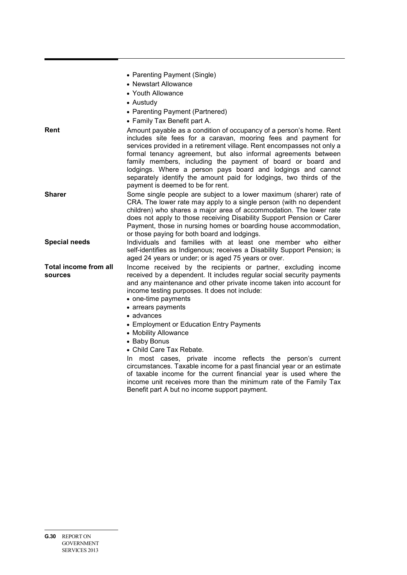|                                  | • Parenting Payment (Single)<br>• Newstart Allowance<br>• Youth Allowance<br>• Austudy<br>• Parenting Payment (Partnered)<br>• Family Tax Benefit part A.                                                                                                                                                                                                                                                                                                                                                                                                                                                                                                 |
|----------------------------------|-----------------------------------------------------------------------------------------------------------------------------------------------------------------------------------------------------------------------------------------------------------------------------------------------------------------------------------------------------------------------------------------------------------------------------------------------------------------------------------------------------------------------------------------------------------------------------------------------------------------------------------------------------------|
| Rent                             | Amount payable as a condition of occupancy of a person's home. Rent<br>includes site fees for a caravan, mooring fees and payment for<br>services provided in a retirement village. Rent encompasses not only a<br>formal tenancy agreement, but also informal agreements between<br>family members, including the payment of board or board and<br>lodgings. Where a person pays board and lodgings and cannot<br>separately identify the amount paid for lodgings, two thirds of the<br>payment is deemed to be for rent.                                                                                                                               |
| <b>Sharer</b>                    | Some single people are subject to a lower maximum (sharer) rate of<br>CRA. The lower rate may apply to a single person (with no dependent<br>children) who shares a major area of accommodation. The lower rate<br>does not apply to those receiving Disability Support Pension or Carer<br>Payment, those in nursing homes or boarding house accommodation,<br>or those paying for both board and lodgings.                                                                                                                                                                                                                                              |
| <b>Special needs</b>             | Individuals and families with at least one member who either<br>self-identifies as Indigenous; receives a Disability Support Pension; is<br>aged 24 years or under; or is aged 75 years or over.                                                                                                                                                                                                                                                                                                                                                                                                                                                          |
| Total income from all<br>sources | Income received by the recipients or partner, excluding income<br>received by a dependent. It includes regular social security payments<br>and any maintenance and other private income taken into account for<br>income testing purposes. It does not include:<br>• one-time payments<br>• arrears payments<br>• advances<br>• Employment or Education Entry Payments<br>• Mobility Allowance<br>• Baby Bonus<br>• Child Care Tax Rebate.<br>In most cases, private income reflects the person's current<br>circumstances. Taxable income for a past financial year or an estimate<br>of taxable income for the current financial year is used where the |
|                                  | income unit receives more than the minimum rate of the Family Tax<br>Benefit part A but no income support payment.                                                                                                                                                                                                                                                                                                                                                                                                                                                                                                                                        |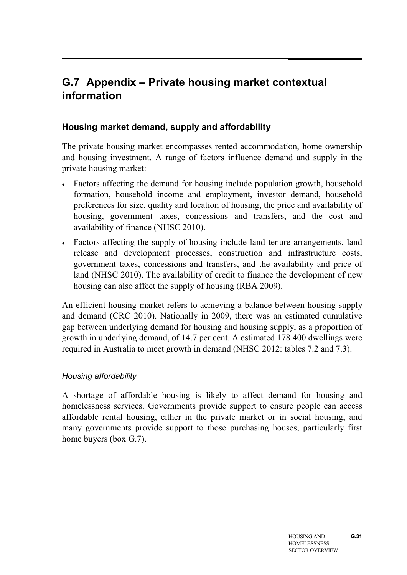# **G.7 Appendix – Private housing market contextual information**

# **Housing market demand, supply and affordability**

The private housing market encompasses rented accommodation, home ownership and housing investment. A range of factors influence demand and supply in the private housing market:

- Factors affecting the demand for housing include population growth, household formation, household income and employment, investor demand, household preferences for size, quality and location of housing, the price and availability of housing, government taxes, concessions and transfers, and the cost and availability of finance (NHSC 2010).
- Factors affecting the supply of housing include land tenure arrangements, land release and development processes, construction and infrastructure costs, government taxes, concessions and transfers, and the availability and price of land (NHSC 2010). The availability of credit to finance the development of new housing can also affect the supply of housing (RBA 2009).

An efficient housing market refers to achieving a balance between housing supply and demand (CRC 2010). Nationally in 2009, there was an estimated cumulative gap between underlying demand for housing and housing supply, as a proportion of growth in underlying demand, of 14.7 per cent. A estimated 178 400 dwellings were required in Australia to meet growth in demand (NHSC 2012: tables 7.2 and 7.3).

# *Housing affordability*

A shortage of affordable housing is likely to affect demand for housing and homelessness services. Governments provide support to ensure people can access affordable rental housing, either in the private market or in social housing, and many governments provide support to those purchasing houses, particularly first home buyers (box G.7).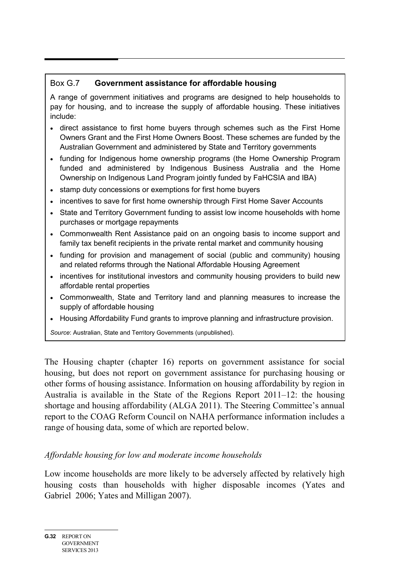# Box G.7 **Government assistance for affordable housing**

A range of government initiatives and programs are designed to help households to pay for housing, and to increase the supply of affordable housing. These initiatives include:

- direct assistance to first home buyers through schemes such as the First Home Owners Grant and the First Home Owners Boost. These schemes are funded by the Australian Government and administered by State and Territory governments
- funding for Indigenous home ownership programs (the Home Ownership Program funded and administered by Indigenous Business Australia and the Home Ownership on Indigenous Land Program jointly funded by FaHCSIA and IBA)
- stamp duty concessions or exemptions for first home buyers
- incentives to save for first home ownership through First Home Saver Accounts
- State and Territory Government funding to assist low income households with home purchases or mortgage repayments
- Commonwealth Rent Assistance paid on an ongoing basis to income support and family tax benefit recipients in the private rental market and community housing
- funding for provision and management of social (public and community) housing and related reforms through the National Affordable Housing Agreement
- incentives for institutional investors and community housing providers to build new affordable rental properties
- Commonwealth, State and Territory land and planning measures to increase the supply of affordable housing
- Housing Affordability Fund grants to improve planning and infrastructure provision.

*Source*: Australian, State and Territory Governments (unpublished).

The Housing chapter (chapter 16) reports on government assistance for social housing, but does not report on government assistance for purchasing housing or other forms of housing assistance. Information on housing affordability by region in Australia is available in the State of the Regions Report 2011–12: the housing shortage and housing affordability (ALGA 2011). The Steering Committee's annual report to the COAG Reform Council on NAHA performance information includes a range of housing data, some of which are reported below.

# *Affordable housing for low and moderate income households*

Low income households are more likely to be adversely affected by relatively high housing costs than households with higher disposable incomes (Yates and Gabriel 2006; Yates and Milligan 2007).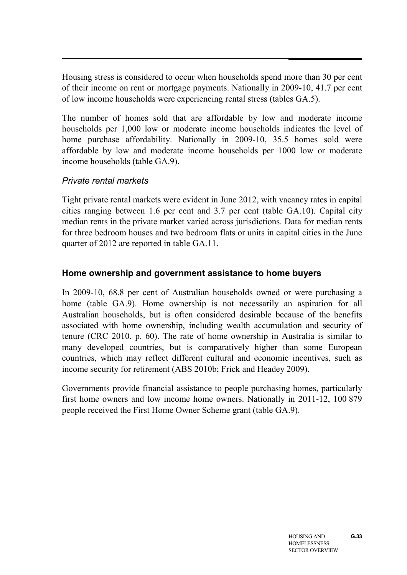Housing stress is considered to occur when households spend more than 30 per cent of their income on rent or mortgage payments. Nationally in 2009-10, 41.7 per cent of low income households were experiencing rental stress (tables GA.5).

The number of homes sold that are affordable by low and moderate income households per 1,000 low or moderate income households indicates the level of home purchase affordability. Nationally in 2009-10, 35.5 homes sold were affordable by low and moderate income households per 1000 low or moderate income households (table GA.9).

# *Private rental markets*

Tight private rental markets were evident in June 2012, with vacancy rates in capital cities ranging between 1.6 per cent and 3.7 per cent (table GA.10). Capital city median rents in the private market varied across jurisdictions. Data for median rents for three bedroom houses and two bedroom flats or units in capital cities in the June quarter of 2012 are reported in table GA.11.

# **Home ownership and government assistance to home buyers**

In 2009-10, 68.8 per cent of Australian households owned or were purchasing a home (table GA.9). Home ownership is not necessarily an aspiration for all Australian households, but is often considered desirable because of the benefits associated with home ownership, including wealth accumulation and security of tenure (CRC 2010, p. 60). The rate of home ownership in Australia is similar to many developed countries, but is comparatively higher than some European countries, which may reflect different cultural and economic incentives, such as income security for retirement (ABS 2010b; Frick and Headey 2009).

Governments provide financial assistance to people purchasing homes, particularly first home owners and low income home owners. Nationally in 2011-12, 100 879 people received the First Home Owner Scheme grant (table GA.9).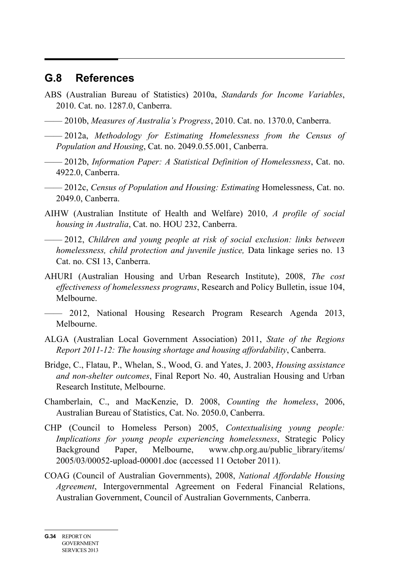# **G.8 References**

- ABS (Australian Bureau of Statistics) 2010a, *Standards for Income Variables*, 2010. Cat. no. 1287.0, Canberra.
- —— 2010b, *Measures of Australia's Progress*, 2010. Cat. no. 1370.0, Canberra.
- —— 2012a, *Methodology for Estimating Homelessness from the Census of Population and Housing*, Cat. no. 2049.0.55.001, Canberra.
- —— 2012b, *Information Paper: A Statistical Definition of Homelessness*, Cat. no. 4922.0, Canberra.
- —— 2012c, *Census of Population and Housing: Estimating* Homelessness, Cat. no. 2049.0, Canberra.
- AIHW (Australian Institute of Health and Welfare) 2010, *A profile of social housing in Australia*, Cat. no. HOU 232, Canberra.
- —— 2012, *Children and young people at risk of social exclusion: links between homelessness, child protection and juvenile justice,* Data linkage series no. 13 Cat. no. CSI 13, Canberra.
- AHURI (Australian Housing and Urban Research Institute), 2008, *The cost effectiveness of homelessness programs*, Research and Policy Bulletin, issue 104, Melbourne.
- —— 2012, National Housing Research Program Research Agenda 2013, Melbourne.
- ALGA (Australian Local Government Association) 2011, *State of the Regions Report 2011-12: The housing shortage and housing affordability*, Canberra.
- Bridge, C., Flatau, P., Whelan, S., Wood, G. and Yates, J. 2003, *Housing assistance and non-shelter outcomes*, Final Report No. 40, Australian Housing and Urban Research Institute, Melbourne.
- Chamberlain, C., and MacKenzie, D. 2008, *Counting the homeless*, 2006, Australian Bureau of Statistics, Cat. No. 2050.0, Canberra.
- CHP (Council to Homeless Person) 2005, *Contextualising young people: Implications for young people experiencing homelessness*, Strategic Policy Background Paper, Melbourne, www.chp.org.au/public\_library/items/ 2005/03/00052-upload-00001.doc (accessed 11 October 2011).
- COAG (Council of Australian Governments), 2008, *National Affordable Housing Agreement*, Intergovernmental Agreement on Federal Financial Relations, Australian Government, Council of Australian Governments, Canberra.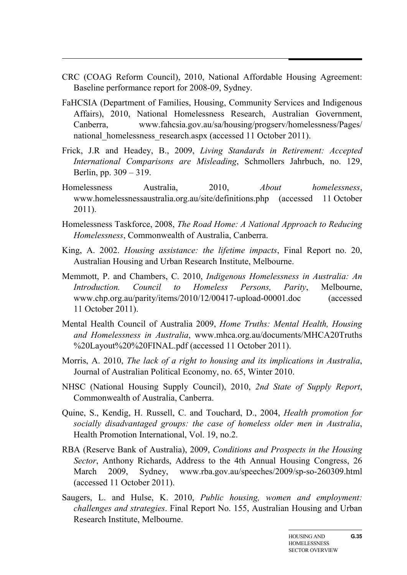- CRC (COAG Reform Council), 2010, National Affordable Housing Agreement: Baseline performance report for 2008-09, Sydney.
- FaHCSIA (Department of Families, Housing, Community Services and Indigenous Affairs), 2010, National Homelessness Research, Australian Government, Canberra, www.fahcsia.gov.au/sa/housing/progserv/homelessness/Pages/ national homelessness research.aspx (accessed 11 October 2011).
- Frick, J.R and Headey, B., 2009, *Living Standards in Retirement: Accepted International Comparisons are Misleading*, Schmollers Jahrbuch, no. 129, Berlin, pp. 309 – 319.
- Homelessness Australia, 2010, *About homelessness*, www.homelessnessaustralia.org.au/site/definitions.php (accessed 11 October 2011).
- Homelessness Taskforce, 2008, *The Road Home: A National Approach to Reducing Homelessness*, Commonwealth of Australia, Canberra.
- King, A. 2002. *Housing assistance: the lifetime impacts*, Final Report no. 20, Australian Housing and Urban Research Institute, Melbourne.
- Memmott, P. and Chambers, C. 2010, *Indigenous Homelessness in Australia: An Introduction. Council to Homeless Persons, Parity*, Melbourne, www.chp.org.au/parity/items/2010/12/00417-upload-00001.doc (accessed 11 October 2011).
- Mental Health Council of Australia 2009, *Home Truths: Mental Health, Housing and Homelessness in Australia*, www.mhca.org.au/documents/MHCA20Truths %20Layout%20%20FINAL.pdf (accessed 11 October 2011).
- Morris, A. 2010, *The lack of a right to housing and its implications in Australia*, Journal of Australian Political Economy, no. 65, Winter 2010.
- NHSC (National Housing Supply Council), 2010, *2nd State of Supply Report*, Commonwealth of Australia, Canberra.
- Quine, S., Kendig, H. Russell, C. and Touchard, D., 2004, *Health promotion for socially disadvantaged groups: the case of homeless older men in Australia*, Health Promotion International, Vol. 19, no.2.
- RBA (Reserve Bank of Australia), 2009, *Conditions and Prospects in the Housing Sector*, Anthony Richards, Address to the 4th Annual Housing Congress, 26 March 2009, Sydney, www.rba.gov.au/speeches/2009/sp-so-260309.html (accessed 11 October 2011).
- Saugers, L. and Hulse, K. 2010, *Public housing, women and employment: challenges and strategies*. Final Report No. 155, Australian Housing and Urban Research Institute, Melbourne.